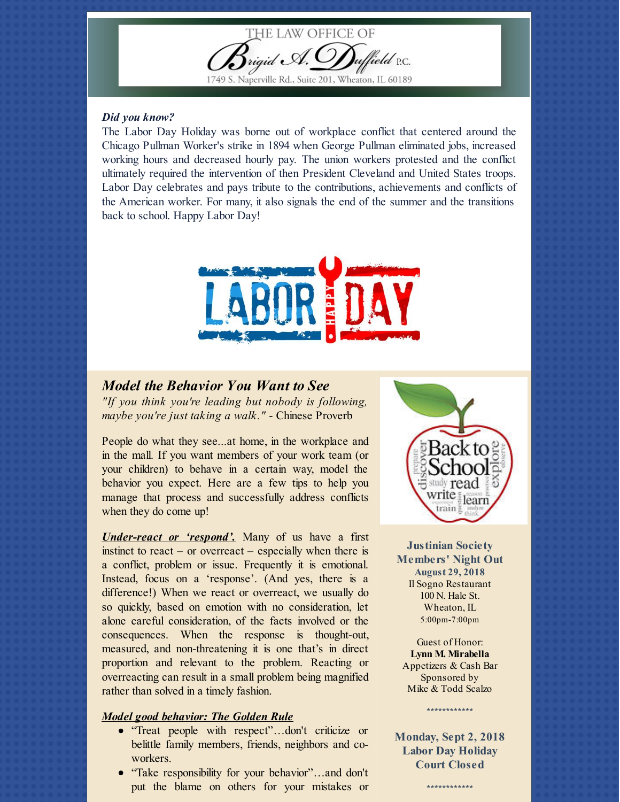

### *Did you know?*

The Labor Day Holiday was borne out of workplace conflict that centered around the Chicago Pullman Worker's strike in 1894 when George Pullman eliminated jobs, increased working hours and decreased hourly pay. The union workers protested and the conflict ultimately required the intervention of then President Cleveland and United States troops. Labor Day celebrates and pays tribute to the contributions, achievements and conflicts of the American worker. For many, it also signals the end of the summer and the transitions back to school. Happy Labor Day!



# *Model the Behavior You Want to See*

*"If you think you're leading but nobody is following, maybe you're just taking a walk."* - Chinese Proverb

People do what they see...at home, in the workplace and in the mall. If you want members of your work team (or your children) to behave in a certain way, model the behavior you expect. Here are a few tips to help you manage that process and successfully address conflicts when they do come up!

*Under-react or 'respond'.* Many of us have a first instinct to react – or overreact – especially when there is a conflict, problem or issue. Frequently it is emotional. Instead, focus on a 'response'. (And yes, there is a difference!) When we react or overreact, we usually do so quickly, based on emotion with no consideration, let alone careful consideration, of the facts involved or the consequences. When the response is thought-out, measured, and non-threatening it is one that's in direct proportion and relevant to the problem. Reacting or overreacting can result in a small problem being magnified rather than solved in a timely fashion.

### *Model good behavior: The Golden Rule*

- "Treat people with respect"…don't criticize or belittle family members, friends, neighbors and coworkers.
- "Take responsibility for your behavior"...and don't put the blame on others for your mistakes or



**Justinian Society Members' Night Out August 29, 2018** Il Sogno Restaurant 100 N. Hale St. Wheaton, IL 5:00pm-7:00pm

Guest of Honor: **Lynn M. Mirabella** Appetizers & Cash Bar Sponsored by Mike & Todd Scalzo

**Monday, Sept 2, 2018 Labor Day Holiday Court Closed**

\*\*\*\*\*\*\*\*\*\*\*\*

\*\*\*\*\*\*\*\*\*\*\*\*